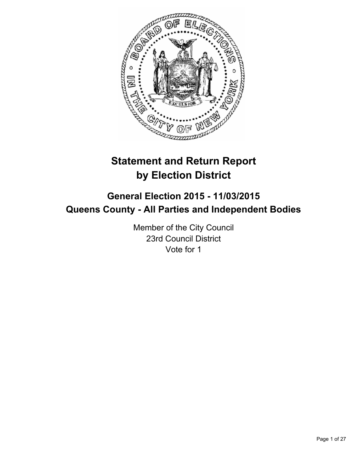

# **Statement and Return Report by Election District**

# **General Election 2015 - 11/03/2015 Queens County - All Parties and Independent Bodies**

Member of the City Council 23rd Council District Vote for 1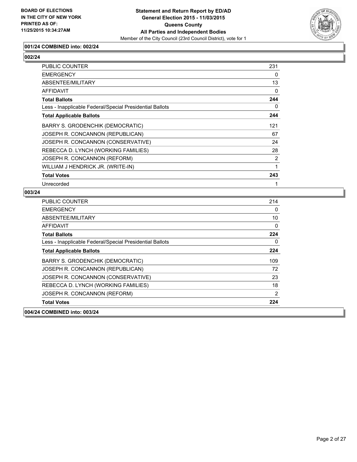

# **001/24 COMBINED into: 002/24**

# **002/24**

| PUBLIC COUNTER                                           | 231            |
|----------------------------------------------------------|----------------|
| <b>EMERGENCY</b>                                         | 0              |
| <b>ABSENTEE/MILITARY</b>                                 | 13             |
| <b>AFFIDAVIT</b>                                         | 0              |
| <b>Total Ballots</b>                                     | 244            |
| Less - Inapplicable Federal/Special Presidential Ballots | 0              |
| <b>Total Applicable Ballots</b>                          | 244            |
| <b>BARRY S. GRODENCHIK (DEMOCRATIC)</b>                  | 121            |
| JOSEPH R. CONCANNON (REPUBLICAN)                         | 67             |
| JOSEPH R. CONCANNON (CONSERVATIVE)                       | 24             |
| REBECCA D. LYNCH (WORKING FAMILIES)                      | 28             |
| JOSEPH R. CONCANNON (REFORM)                             | $\overline{2}$ |
| WILLIAM J HENDRICK JR. (WRITE-IN)                        | 1              |
| <b>Total Votes</b>                                       | 243            |
| Unrecorded                                               |                |

| 004/24 COMBINED into: 003/24                             |     |
|----------------------------------------------------------|-----|
| <b>Total Votes</b>                                       | 224 |
| JOSEPH R. CONCANNON (REFORM)                             | 2   |
| REBECCA D. LYNCH (WORKING FAMILIES)                      | 18  |
| JOSEPH R. CONCANNON (CONSERVATIVE)                       | 23  |
| JOSEPH R. CONCANNON (REPUBLICAN)                         | 72  |
| <b>BARRY S. GRODENCHIK (DEMOCRATIC)</b>                  | 109 |
| <b>Total Applicable Ballots</b>                          | 224 |
| Less - Inapplicable Federal/Special Presidential Ballots | 0   |
| <b>Total Ballots</b>                                     | 224 |
| AFFIDAVIT                                                | 0   |
| ABSENTEE/MILITARY                                        | 10  |
| <b>EMERGENCY</b>                                         | 0   |
| <b>PUBLIC COUNTER</b>                                    | 214 |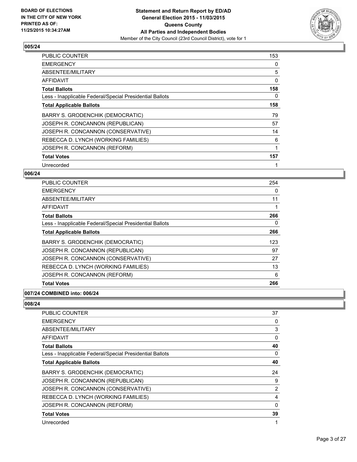

| PUBLIC COUNTER                                           | 153 |
|----------------------------------------------------------|-----|
| <b>EMERGENCY</b>                                         | 0   |
| ABSENTEE/MILITARY                                        | 5   |
| AFFIDAVIT                                                | 0   |
| <b>Total Ballots</b>                                     | 158 |
| Less - Inapplicable Federal/Special Presidential Ballots | 0   |
| <b>Total Applicable Ballots</b>                          | 158 |
| BARRY S. GRODENCHIK (DEMOCRATIC)                         | 79  |
| JOSEPH R. CONCANNON (REPUBLICAN)                         | 57  |
| JOSEPH R. CONCANNON (CONSERVATIVE)                       | 14  |
| REBECCA D. LYNCH (WORKING FAMILIES)                      | 6   |
| JOSEPH R. CONCANNON (REFORM)                             | 1   |
| <b>Total Votes</b>                                       | 157 |
| Unrecorded                                               | 1   |

## **006/24**

| PUBLIC COUNTER                                           | 254 |
|----------------------------------------------------------|-----|
| <b>EMERGENCY</b>                                         | 0   |
| ABSENTEE/MILITARY                                        | 11  |
| AFFIDAVIT                                                |     |
| <b>Total Ballots</b>                                     | 266 |
| Less - Inapplicable Federal/Special Presidential Ballots | 0   |
| <b>Total Applicable Ballots</b>                          | 266 |
| BARRY S. GRODENCHIK (DEMOCRATIC)                         | 123 |
| JOSEPH R. CONCANNON (REPUBLICAN)                         | 97  |
| JOSEPH R. CONCANNON (CONSERVATIVE)                       | 27  |
| REBECCA D. LYNCH (WORKING FAMILIES)                      | 13  |
| JOSEPH R. CONCANNON (REFORM)                             | 6   |
| <b>Total Votes</b>                                       | 266 |

## **007/24 COMBINED into: 006/24**

| PUBLIC COUNTER                                           | 37       |
|----------------------------------------------------------|----------|
| <b>EMERGENCY</b>                                         | 0        |
| ABSENTEE/MILITARY                                        | 3        |
| AFFIDAVIT                                                | 0        |
| <b>Total Ballots</b>                                     | 40       |
| Less - Inapplicable Federal/Special Presidential Ballots | 0        |
| <b>Total Applicable Ballots</b>                          | 40       |
| BARRY S. GRODENCHIK (DEMOCRATIC)                         | 24       |
| JOSEPH R. CONCANNON (REPUBLICAN)                         | 9        |
| JOSEPH R. CONCANNON (CONSERVATIVE)                       | 2        |
| REBECCA D. LYNCH (WORKING FAMILIES)                      | 4        |
| JOSEPH R. CONCANNON (REFORM)                             | $\Omega$ |
| <b>Total Votes</b>                                       | 39       |
| Unrecorded                                               | 1        |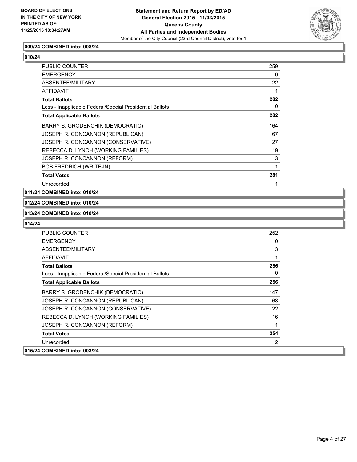

#### **009/24 COMBINED into: 008/24**

# **010/24**

| <b>PUBLIC COUNTER</b>                                    | 259 |
|----------------------------------------------------------|-----|
| <b>EMERGENCY</b>                                         | 0   |
| ABSENTEE/MILITARY                                        | 22  |
| AFFIDAVIT                                                |     |
| <b>Total Ballots</b>                                     | 282 |
| Less - Inapplicable Federal/Special Presidential Ballots | 0   |
| <b>Total Applicable Ballots</b>                          | 282 |
| BARRY S. GRODENCHIK (DEMOCRATIC)                         | 164 |
| JOSEPH R. CONCANNON (REPUBLICAN)                         | 67  |
| JOSEPH R. CONCANNON (CONSERVATIVE)                       | 27  |
| REBECCA D. LYNCH (WORKING FAMILIES)                      | 19  |
| JOSEPH R. CONCANNON (REFORM)                             | 3   |
| <b>BOB FREDRICH (WRITE-IN)</b>                           | 1   |
| <b>Total Votes</b>                                       | 281 |
| Unrecorded                                               |     |

#### **011/24 COMBINED into: 010/24**

#### **012/24 COMBINED into: 010/24**

#### **013/24 COMBINED into: 010/24**

| <b>PUBLIC COUNTER</b>                                    | 252 |
|----------------------------------------------------------|-----|
| <b>EMERGENCY</b>                                         | 0   |
| ABSENTEE/MILITARY                                        | 3   |
| AFFIDAVIT                                                |     |
| <b>Total Ballots</b>                                     | 256 |
| Less - Inapplicable Federal/Special Presidential Ballots | 0   |
| <b>Total Applicable Ballots</b>                          | 256 |
| BARRY S. GRODENCHIK (DEMOCRATIC)                         | 147 |
| JOSEPH R. CONCANNON (REPUBLICAN)                         | 68  |
| JOSEPH R. CONCANNON (CONSERVATIVE)                       | 22  |
| REBECCA D. LYNCH (WORKING FAMILIES)                      | 16  |
| JOSEPH R. CONCANNON (REFORM)                             | 1   |
| <b>Total Votes</b>                                       | 254 |
| Unrecorded                                               | 2   |
| 015/24 COMBINED into: 003/24                             |     |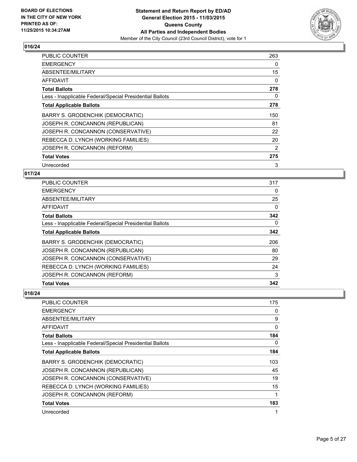

| <b>PUBLIC COUNTER</b>                                    | 263 |
|----------------------------------------------------------|-----|
| <b>EMERGENCY</b>                                         | 0   |
| ABSENTEE/MILITARY                                        | 15  |
| AFFIDAVIT                                                | 0   |
| Total Ballots                                            | 278 |
| Less - Inapplicable Federal/Special Presidential Ballots | 0   |
| <b>Total Applicable Ballots</b>                          | 278 |
| BARRY S. GRODENCHIK (DEMOCRATIC)                         | 150 |
| JOSEPH R. CONCANNON (REPUBLICAN)                         | 81  |
| JOSEPH R. CONCANNON (CONSERVATIVE)                       | 22  |
| REBECCA D. LYNCH (WORKING FAMILIES)                      | 20  |
| JOSEPH R. CONCANNON (REFORM)                             | 2   |
| <b>Total Votes</b>                                       | 275 |
| Unrecorded                                               | 3   |

## **017/24**

| <b>Total Votes</b>                                       | 342 |
|----------------------------------------------------------|-----|
| JOSEPH R. CONCANNON (REFORM)                             | 3   |
| REBECCA D. LYNCH (WORKING FAMILIES)                      | 24  |
| JOSEPH R. CONCANNON (CONSERVATIVE)                       | 29  |
| JOSEPH R. CONCANNON (REPUBLICAN)                         | 80  |
| BARRY S. GRODENCHIK (DEMOCRATIC)                         | 206 |
| <b>Total Applicable Ballots</b>                          | 342 |
| Less - Inapplicable Federal/Special Presidential Ballots | 0   |
| <b>Total Ballots</b>                                     | 342 |
| <b>AFFIDAVIT</b>                                         | 0   |
| ABSENTEE/MILITARY                                        | 25  |
| <b>EMERGENCY</b>                                         | 0   |
| PUBLIC COUNTER                                           | 317 |

| PUBLIC COUNTER                                           | 175          |
|----------------------------------------------------------|--------------|
| <b>EMERGENCY</b>                                         | 0            |
| ABSENTEE/MILITARY                                        | 9            |
| <b>AFFIDAVIT</b>                                         | $\mathbf{0}$ |
| <b>Total Ballots</b>                                     | 184          |
| Less - Inapplicable Federal/Special Presidential Ballots | 0            |
| <b>Total Applicable Ballots</b>                          | 184          |
| BARRY S. GRODENCHIK (DEMOCRATIC)                         | 103          |
| JOSEPH R. CONCANNON (REPUBLICAN)                         | 45           |
| JOSEPH R. CONCANNON (CONSERVATIVE)                       | 19           |
| REBECCA D. LYNCH (WORKING FAMILIES)                      | 15           |
| JOSEPH R. CONCANNON (REFORM)                             | 1            |
| <b>Total Votes</b>                                       | 183          |
| Unrecorded                                               | 1            |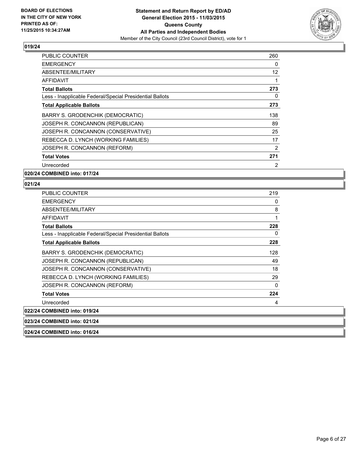

| PUBLIC COUNTER                                           | 260 |
|----------------------------------------------------------|-----|
| <b>EMERGENCY</b>                                         | 0   |
| ABSENTEE/MILITARY                                        | 12  |
| AFFIDAVIT                                                | 1   |
| <b>Total Ballots</b>                                     | 273 |
| Less - Inapplicable Federal/Special Presidential Ballots | 0   |
| <b>Total Applicable Ballots</b>                          | 273 |
| BARRY S. GRODENCHIK (DEMOCRATIC)                         | 138 |
| JOSEPH R. CONCANNON (REPUBLICAN)                         | 89  |
| JOSEPH R. CONCANNON (CONSERVATIVE)                       | 25  |
| REBECCA D. LYNCH (WORKING FAMILIES)                      | 17  |
| JOSEPH R. CONCANNON (REFORM)                             | 2   |
| <b>Total Votes</b>                                       | 271 |
| Unrecorded                                               | 2   |

**020/24 COMBINED into: 017/24**

| PUBLIC COUNTER                                           | 219 |
|----------------------------------------------------------|-----|
| <b>EMERGENCY</b>                                         | 0   |
| ABSENTEE/MILITARY                                        | 8   |
| <b>AFFIDAVIT</b>                                         | 1   |
| <b>Total Ballots</b>                                     | 228 |
| Less - Inapplicable Federal/Special Presidential Ballots | 0   |
| <b>Total Applicable Ballots</b>                          | 228 |
| BARRY S. GRODENCHIK (DEMOCRATIC)                         | 128 |
| JOSEPH R. CONCANNON (REPUBLICAN)                         | 49  |
| JOSEPH R. CONCANNON (CONSERVATIVE)                       | 18  |
| REBECCA D. LYNCH (WORKING FAMILIES)                      | 29  |
| JOSEPH R. CONCANNON (REFORM)                             | 0   |
| <b>Total Votes</b>                                       | 224 |
| Unrecorded                                               | 4   |
| 022/24 COMBINED into: 019/24                             |     |
| 023/24 COMBINED into: 021/24                             |     |
| 024/24 COMBINED into: 016/24                             |     |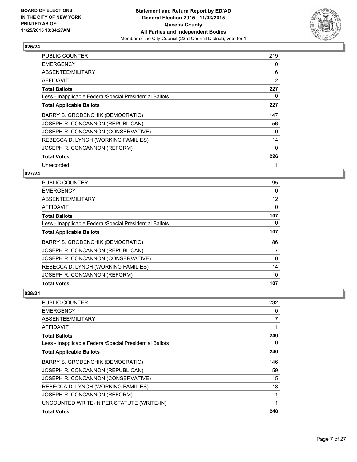

| <b>PUBLIC COUNTER</b>                                    | 219 |
|----------------------------------------------------------|-----|
| <b>EMERGENCY</b>                                         | 0   |
| ABSENTEE/MILITARY                                        | 6   |
| AFFIDAVIT                                                | 2   |
| <b>Total Ballots</b>                                     | 227 |
| Less - Inapplicable Federal/Special Presidential Ballots | 0   |
| <b>Total Applicable Ballots</b>                          | 227 |
| BARRY S. GRODENCHIK (DEMOCRATIC)                         | 147 |
| JOSEPH R. CONCANNON (REPUBLICAN)                         | 56  |
| JOSEPH R. CONCANNON (CONSERVATIVE)                       | 9   |
| REBECCA D. LYNCH (WORKING FAMILIES)                      | 14  |
| JOSEPH R. CONCANNON (REFORM)                             | 0   |
| <b>Total Votes</b>                                       | 226 |
| Unrecorded                                               | 1   |

## **027/24**

| <b>Total Votes</b>                                       | 107 |
|----------------------------------------------------------|-----|
| JOSEPH R. CONCANNON (REFORM)                             | 0   |
| REBECCA D. LYNCH (WORKING FAMILIES)                      | 14  |
| JOSEPH R. CONCANNON (CONSERVATIVE)                       | 0   |
| JOSEPH R. CONCANNON (REPUBLICAN)                         | 7   |
| BARRY S. GRODENCHIK (DEMOCRATIC)                         | 86  |
| <b>Total Applicable Ballots</b>                          | 107 |
| Less - Inapplicable Federal/Special Presidential Ballots | 0   |
| <b>Total Ballots</b>                                     | 107 |
| <b>AFFIDAVIT</b>                                         | 0   |
| ABSENTEE/MILITARY                                        | 12  |
| <b>EMERGENCY</b>                                         | 0   |
| PUBLIC COUNTER                                           | 95  |

| PUBLIC COUNTER                                           | 232 |
|----------------------------------------------------------|-----|
| <b>EMERGENCY</b>                                         | 0   |
| ABSENTEE/MILITARY                                        | 7   |
| <b>AFFIDAVIT</b>                                         | 1   |
| <b>Total Ballots</b>                                     | 240 |
| Less - Inapplicable Federal/Special Presidential Ballots | 0   |
| <b>Total Applicable Ballots</b>                          | 240 |
| BARRY S. GRODENCHIK (DEMOCRATIC)                         | 146 |
| JOSEPH R. CONCANNON (REPUBLICAN)                         | 59  |
| JOSEPH R. CONCANNON (CONSERVATIVE)                       | 15  |
| REBECCA D. LYNCH (WORKING FAMILIES)                      | 18  |
| JOSEPH R. CONCANNON (REFORM)                             |     |
| UNCOUNTED WRITE-IN PER STATUTE (WRITE-IN)                | 1   |
| <b>Total Votes</b>                                       | 240 |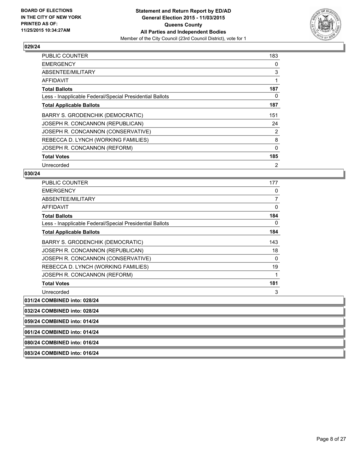

| <b>PUBLIC COUNTER</b>                                    | 183      |
|----------------------------------------------------------|----------|
| <b>EMERGENCY</b>                                         | 0        |
| ABSENTEE/MILITARY                                        | 3        |
| AFFIDAVIT                                                |          |
| <b>Total Ballots</b>                                     | 187      |
| Less - Inapplicable Federal/Special Presidential Ballots | 0        |
| <b>Total Applicable Ballots</b>                          | 187      |
| BARRY S. GRODENCHIK (DEMOCRATIC)                         | 151      |
| JOSEPH R. CONCANNON (REPUBLICAN)                         | 24       |
| JOSEPH R. CONCANNON (CONSERVATIVE)                       | 2        |
| REBECCA D. LYNCH (WORKING FAMILIES)                      | 8        |
| JOSEPH R. CONCANNON (REFORM)                             | $\Omega$ |
| <b>Total Votes</b>                                       | 185      |
| Unrecorded                                               | 2        |

#### **030/24**

| <b>PUBLIC COUNTER</b>                                    | 177 |
|----------------------------------------------------------|-----|
| <b>EMERGENCY</b>                                         | 0   |
| ABSENTEE/MILITARY                                        | 7   |
| AFFIDAVIT                                                | 0   |
| <b>Total Ballots</b>                                     | 184 |
| Less - Inapplicable Federal/Special Presidential Ballots | 0   |
| <b>Total Applicable Ballots</b>                          | 184 |
| BARRY S. GRODENCHIK (DEMOCRATIC)                         | 143 |
| JOSEPH R. CONCANNON (REPUBLICAN)                         | 18  |
| JOSEPH R. CONCANNON (CONSERVATIVE)                       | 0   |
| REBECCA D. LYNCH (WORKING FAMILIES)                      | 19  |
| JOSEPH R. CONCANNON (REFORM)                             | 1   |
| <b>Total Votes</b>                                       | 181 |
| Unrecorded                                               | 3   |
| 031/24 COMBINED into: 028/24                             |     |

**032/24 COMBINED into: 028/24 059/24 COMBINED into: 014/24 061/24 COMBINED into: 014/24 080/24 COMBINED into: 016/24**

**083/24 COMBINED into: 016/24**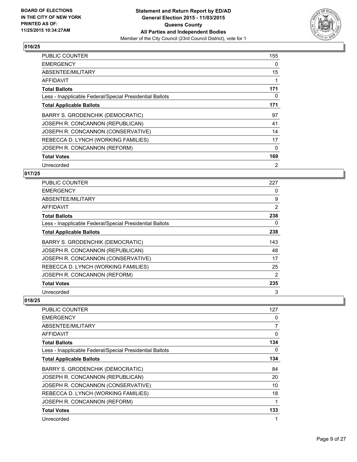

| <b>PUBLIC COUNTER</b>                                    | 155 |
|----------------------------------------------------------|-----|
| <b>EMERGENCY</b>                                         | 0   |
| ABSENTEE/MILITARY                                        | 15  |
| AFFIDAVIT                                                |     |
| <b>Total Ballots</b>                                     | 171 |
| Less - Inapplicable Federal/Special Presidential Ballots | 0   |
| <b>Total Applicable Ballots</b>                          | 171 |
| BARRY S. GRODENCHIK (DEMOCRATIC)                         | 97  |
| JOSEPH R. CONCANNON (REPUBLICAN)                         | 41  |
| JOSEPH R. CONCANNON (CONSERVATIVE)                       | 14  |
| REBECCA D. LYNCH (WORKING FAMILIES)                      | 17  |
| JOSEPH R. CONCANNON (REFORM)                             | 0   |
| <b>Total Votes</b>                                       | 169 |
| Unrecorded                                               | 2   |

## **017/25**

| PUBLIC COUNTER                                           | 227 |
|----------------------------------------------------------|-----|
| <b>EMERGENCY</b>                                         | 0   |
| ABSENTEE/MILITARY                                        | 9   |
| AFFIDAVIT                                                | 2   |
| <b>Total Ballots</b>                                     | 238 |
| Less - Inapplicable Federal/Special Presidential Ballots | 0   |
| <b>Total Applicable Ballots</b>                          | 238 |
| BARRY S. GRODENCHIK (DEMOCRATIC)                         | 143 |
| JOSEPH R. CONCANNON (REPUBLICAN)                         | 48  |
| JOSEPH R. CONCANNON (CONSERVATIVE)                       | 17  |
| REBECCA D. LYNCH (WORKING FAMILIES)                      | 25  |
| JOSEPH R. CONCANNON (REFORM)                             | 2   |
| <b>Total Votes</b>                                       | 235 |
| Unrecorded                                               | 3   |

| PUBLIC COUNTER                                           | 127 |
|----------------------------------------------------------|-----|
| <b>EMERGENCY</b>                                         | 0   |
| ABSENTEE/MILITARY                                        | 7   |
| AFFIDAVIT                                                | 0   |
| <b>Total Ballots</b>                                     | 134 |
| Less - Inapplicable Federal/Special Presidential Ballots | 0   |
| <b>Total Applicable Ballots</b>                          | 134 |
| BARRY S. GRODENCHIK (DEMOCRATIC)                         | 84  |
| JOSEPH R. CONCANNON (REPUBLICAN)                         | 20  |
| JOSEPH R. CONCANNON (CONSERVATIVE)                       | 10  |
| REBECCA D. LYNCH (WORKING FAMILIES)                      | 18  |
| JOSEPH R. CONCANNON (REFORM)                             |     |
| <b>Total Votes</b>                                       | 133 |
| Unrecorded                                               | 1   |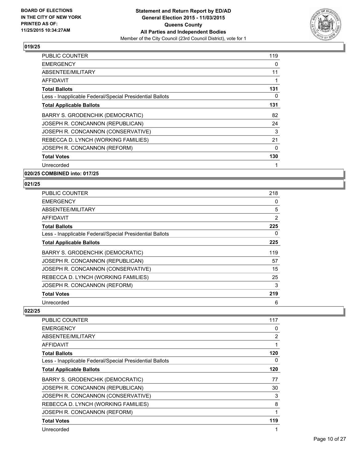

| <b>PUBLIC COUNTER</b>                                    | 119 |
|----------------------------------------------------------|-----|
| <b>EMERGENCY</b>                                         | 0   |
| ABSENTEE/MILITARY                                        | 11  |
| AFFIDAVIT                                                |     |
| <b>Total Ballots</b>                                     | 131 |
| Less - Inapplicable Federal/Special Presidential Ballots | 0   |
| <b>Total Applicable Ballots</b>                          | 131 |
| BARRY S. GRODENCHIK (DEMOCRATIC)                         | 82  |
| JOSEPH R. CONCANNON (REPUBLICAN)                         | 24  |
| JOSEPH R. CONCANNON (CONSERVATIVE)                       | 3   |
| REBECCA D. LYNCH (WORKING FAMILIES)                      | 21  |
| JOSEPH R. CONCANNON (REFORM)                             | 0   |
| <b>Total Votes</b>                                       | 130 |
| Unrecorded                                               |     |

**020/25 COMBINED into: 017/25**

#### **021/25**

| PUBLIC COUNTER                                           | 218 |
|----------------------------------------------------------|-----|
| <b>EMERGENCY</b>                                         | 0   |
| ABSENTEE/MILITARY                                        | 5   |
| AFFIDAVIT                                                | 2   |
| <b>Total Ballots</b>                                     | 225 |
| Less - Inapplicable Federal/Special Presidential Ballots | 0   |
| <b>Total Applicable Ballots</b>                          | 225 |
| BARRY S. GRODENCHIK (DEMOCRATIC)                         | 119 |
| JOSEPH R. CONCANNON (REPUBLICAN)                         | 57  |
| JOSEPH R. CONCANNON (CONSERVATIVE)                       | 15  |
| REBECCA D. LYNCH (WORKING FAMILIES)                      | 25  |
| JOSEPH R. CONCANNON (REFORM)                             | 3   |
| <b>Total Votes</b>                                       | 219 |
| Unrecorded                                               | 6   |

| PUBLIC COUNTER                                           | 117            |
|----------------------------------------------------------|----------------|
| <b>EMERGENCY</b>                                         | 0              |
| ABSENTEE/MILITARY                                        | $\overline{2}$ |
| AFFIDAVIT                                                |                |
| <b>Total Ballots</b>                                     | 120            |
| Less - Inapplicable Federal/Special Presidential Ballots | 0              |
| <b>Total Applicable Ballots</b>                          | 120            |
| BARRY S. GRODENCHIK (DEMOCRATIC)                         | 77             |
| JOSEPH R. CONCANNON (REPUBLICAN)                         | 30             |
| JOSEPH R. CONCANNON (CONSERVATIVE)                       | 3              |
| REBECCA D. LYNCH (WORKING FAMILIES)                      | 8              |
| JOSEPH R. CONCANNON (REFORM)                             | 1              |
| <b>Total Votes</b>                                       | 119            |
| Unrecorded                                               |                |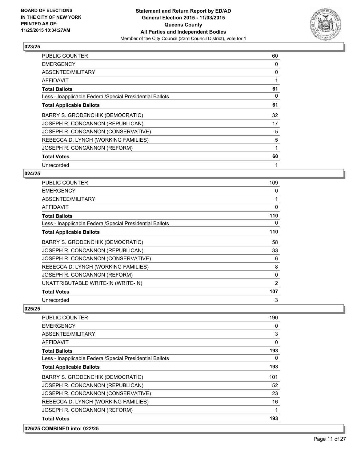

| <b>PUBLIC COUNTER</b>                                    | 60 |
|----------------------------------------------------------|----|
| <b>EMERGENCY</b>                                         | 0  |
| ABSENTEE/MILITARY                                        | 0  |
| AFFIDAVIT                                                | 1  |
| <b>Total Ballots</b>                                     | 61 |
| Less - Inapplicable Federal/Special Presidential Ballots | 0  |
| <b>Total Applicable Ballots</b>                          | 61 |
| BARRY S. GRODENCHIK (DEMOCRATIC)                         | 32 |
| JOSEPH R. CONCANNON (REPUBLICAN)                         | 17 |
| JOSEPH R. CONCANNON (CONSERVATIVE)                       | 5  |
| REBECCA D. LYNCH (WORKING FAMILIES)                      | 5  |
| JOSEPH R. CONCANNON (REFORM)                             | 1  |
| <b>Total Votes</b>                                       | 60 |
| Unrecorded                                               | 1  |

#### **024/25**

| <b>PUBLIC COUNTER</b>                                    | 109      |
|----------------------------------------------------------|----------|
| <b>EMERGENCY</b>                                         | 0        |
| ABSENTEE/MILITARY                                        |          |
| AFFIDAVIT                                                | 0        |
| <b>Total Ballots</b>                                     | 110      |
| Less - Inapplicable Federal/Special Presidential Ballots | 0        |
| <b>Total Applicable Ballots</b>                          | 110      |
| BARRY S. GRODENCHIK (DEMOCRATIC)                         | 58       |
| JOSEPH R. CONCANNON (REPUBLICAN)                         | 33       |
| JOSEPH R. CONCANNON (CONSERVATIVE)                       | 6        |
| REBECCA D. LYNCH (WORKING FAMILIES)                      | 8        |
| JOSEPH R. CONCANNON (REFORM)                             | $\Omega$ |
| UNATTRIBUTABLE WRITE-IN (WRITE-IN)                       | 2        |
| <b>Total Votes</b>                                       | 107      |
| Unrecorded                                               | 3        |

#### **025/25**

| <b>PUBLIC COUNTER</b>                                    | 190 |
|----------------------------------------------------------|-----|
| <b>EMERGENCY</b>                                         | 0   |
| ABSENTEE/MILITARY                                        | 3   |
| AFFIDAVIT                                                | 0   |
| <b>Total Ballots</b>                                     | 193 |
| Less - Inapplicable Federal/Special Presidential Ballots | 0   |
| <b>Total Applicable Ballots</b>                          | 193 |
| <b>BARRY S. GRODENCHIK (DEMOCRATIC)</b>                  | 101 |
| JOSEPH R. CONCANNON (REPUBLICAN)                         | 52  |
| JOSEPH R. CONCANNON (CONSERVATIVE)                       | 23  |
| REBECCA D. LYNCH (WORKING FAMILIES)                      | 16  |
| JOSEPH R. CONCANNON (REFORM)                             | 1   |
| <b>Total Votes</b>                                       | 193 |

## **026/25 COMBINED into: 022/25**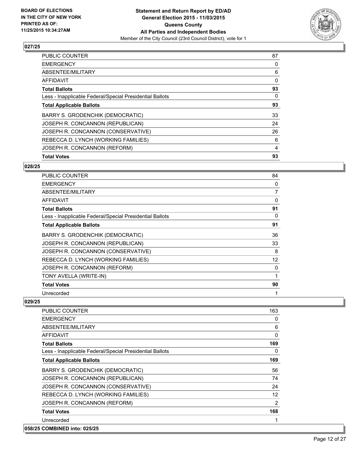

| <b>Total Votes</b>                                       | 93 |
|----------------------------------------------------------|----|
| JOSEPH R. CONCANNON (REFORM)                             | 4  |
| REBECCA D. LYNCH (WORKING FAMILIES)                      | 6  |
| JOSEPH R. CONCANNON (CONSERVATIVE)                       | 26 |
| JOSEPH R. CONCANNON (REPUBLICAN)                         | 24 |
| BARRY S. GRODENCHIK (DEMOCRATIC)                         | 33 |
| <b>Total Applicable Ballots</b>                          | 93 |
| Less - Inapplicable Federal/Special Presidential Ballots | 0  |
| <b>Total Ballots</b>                                     | 93 |
| AFFIDAVIT                                                | 0  |
| ABSENTEE/MILITARY                                        | 6  |
| <b>EMERGENCY</b>                                         | 0  |
| <b>PUBLIC COUNTER</b>                                    | 87 |

#### **028/25**

| PUBLIC COUNTER                                           | 84           |
|----------------------------------------------------------|--------------|
| <b>EMERGENCY</b>                                         | 0            |
| ABSENTEE/MILITARY                                        | 7            |
| <b>AFFIDAVIT</b>                                         | 0            |
| <b>Total Ballots</b>                                     | 91           |
| Less - Inapplicable Federal/Special Presidential Ballots | 0            |
| <b>Total Applicable Ballots</b>                          | 91           |
| BARRY S. GRODENCHIK (DEMOCRATIC)                         | 36           |
| JOSEPH R. CONCANNON (REPUBLICAN)                         | 33           |
| JOSEPH R. CONCANNON (CONSERVATIVE)                       | 8            |
| REBECCA D. LYNCH (WORKING FAMILIES)                      | 12           |
| JOSEPH R. CONCANNON (REFORM)                             | 0            |
| TONY AVELLA (WRITE-IN)                                   | 1            |
| <b>Total Votes</b>                                       | 90           |
| Unrecorded                                               | $\mathbf{1}$ |

| PUBLIC COUNTER                                           | 163      |
|----------------------------------------------------------|----------|
| <b>EMERGENCY</b>                                         | 0        |
| ABSENTEE/MILITARY                                        | 6        |
| <b>AFFIDAVIT</b>                                         | $\Omega$ |
| <b>Total Ballots</b>                                     | 169      |
| Less - Inapplicable Federal/Special Presidential Ballots | 0        |
| <b>Total Applicable Ballots</b>                          | 169      |
| BARRY S. GRODENCHIK (DEMOCRATIC)                         | 56       |
| JOSEPH R. CONCANNON (REPUBLICAN)                         | 74       |
| JOSEPH R. CONCANNON (CONSERVATIVE)                       | 24       |
| REBECCA D. LYNCH (WORKING FAMILIES)                      | 12       |
| JOSEPH R. CONCANNON (REFORM)                             | 2        |
| <b>Total Votes</b>                                       | 168      |
| Unrecorded                                               | 1        |
| 058/25 COMBINED into: 025/25                             |          |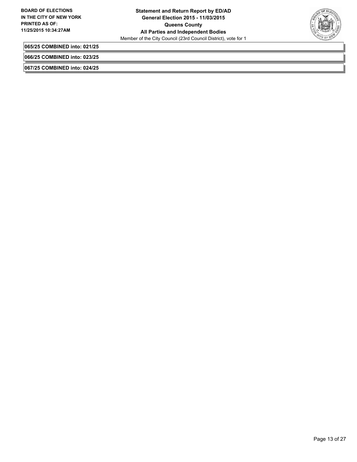

**065/25 COMBINED into: 021/25**

**066/25 COMBINED into: 023/25**

**067/25 COMBINED into: 024/25**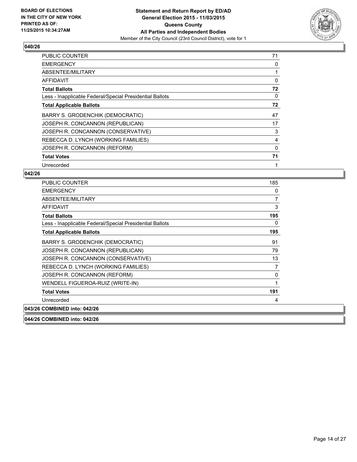

| <b>PUBLIC COUNTER</b>                                    | 71 |
|----------------------------------------------------------|----|
| <b>EMERGENCY</b>                                         | 0  |
| ABSENTEE/MILITARY                                        |    |
| AFFIDAVIT                                                | 0  |
| <b>Total Ballots</b>                                     | 72 |
| Less - Inapplicable Federal/Special Presidential Ballots | 0  |
| <b>Total Applicable Ballots</b>                          | 72 |
| BARRY S. GRODENCHIK (DEMOCRATIC)                         | 47 |
| JOSEPH R. CONCANNON (REPUBLICAN)                         | 17 |
| JOSEPH R. CONCANNON (CONSERVATIVE)                       | 3  |
| REBECCA D. LYNCH (WORKING FAMILIES)                      | 4  |
| JOSEPH R. CONCANNON (REFORM)                             | 0  |
| <b>Total Votes</b>                                       | 71 |
| Unrecorded                                               | 1  |

#### **042/26**

**044/26 COMBINED into: 042/26**

| <b>PUBLIC COUNTER</b>                                    | 185 |
|----------------------------------------------------------|-----|
| <b>EMERGENCY</b>                                         | 0   |
| ABSENTEE/MILITARY                                        | 7   |
| <b>AFFIDAVIT</b>                                         | 3   |
| <b>Total Ballots</b>                                     | 195 |
| Less - Inapplicable Federal/Special Presidential Ballots | 0   |
| <b>Total Applicable Ballots</b>                          | 195 |
| <b>BARRY S. GRODENCHIK (DEMOCRATIC)</b>                  | 91  |
| JOSEPH R. CONCANNON (REPUBLICAN)                         | 79  |
| JOSEPH R. CONCANNON (CONSERVATIVE)                       | 13  |
| REBECCA D. LYNCH (WORKING FAMILIES)                      | 7   |
| JOSEPH R. CONCANNON (REFORM)                             | 0   |
| WENDELL FIGUEROA-RUIZ (WRITE-IN)                         | 1   |
| <b>Total Votes</b>                                       | 191 |
| Unrecorded                                               | 4   |
| 043/26 COMBINED into: 042/26                             |     |

Page 14 of 27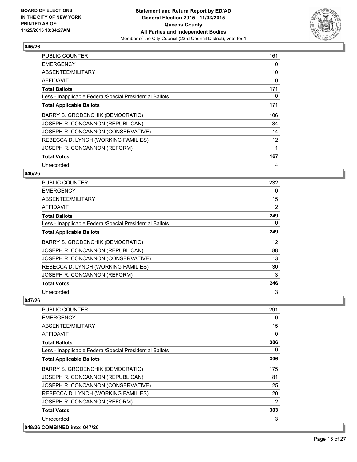

| <b>PUBLIC COUNTER</b>                                    | 161 |
|----------------------------------------------------------|-----|
| <b>EMERGENCY</b>                                         | 0   |
| ABSENTEE/MILITARY                                        | 10  |
| <b>AFFIDAVIT</b>                                         | 0   |
| <b>Total Ballots</b>                                     | 171 |
| Less - Inapplicable Federal/Special Presidential Ballots | 0   |
| <b>Total Applicable Ballots</b>                          | 171 |
| BARRY S. GRODENCHIK (DEMOCRATIC)                         | 106 |
| JOSEPH R. CONCANNON (REPUBLICAN)                         | 34  |
| JOSEPH R. CONCANNON (CONSERVATIVE)                       | 14  |
| REBECCA D. LYNCH (WORKING FAMILIES)                      | 12  |
| JOSEPH R. CONCANNON (REFORM)                             | 1   |
| <b>Total Votes</b>                                       | 167 |
| Unrecorded                                               | 4   |

#### **046/26**

| <b>PUBLIC COUNTER</b>                                    | 232 |
|----------------------------------------------------------|-----|
| <b>EMERGENCY</b>                                         | 0   |
| ABSENTEE/MILITARY                                        | 15  |
| AFFIDAVIT                                                | 2   |
| <b>Total Ballots</b>                                     | 249 |
| Less - Inapplicable Federal/Special Presidential Ballots | 0   |
| <b>Total Applicable Ballots</b>                          | 249 |
| BARRY S. GRODENCHIK (DEMOCRATIC)                         | 112 |
| JOSEPH R. CONCANNON (REPUBLICAN)                         | 88  |
| JOSEPH R. CONCANNON (CONSERVATIVE)                       | 13  |
| REBECCA D. LYNCH (WORKING FAMILIES)                      | 30  |
| JOSEPH R. CONCANNON (REFORM)                             | 3   |
| <b>Total Votes</b>                                       | 246 |
| Unrecorded                                               | 3   |

| <b>PUBLIC COUNTER</b>                                    | 291      |
|----------------------------------------------------------|----------|
| <b>EMERGENCY</b>                                         | 0        |
| ABSENTEE/MILITARY                                        | 15       |
| <b>AFFIDAVIT</b>                                         | $\Omega$ |
| <b>Total Ballots</b>                                     | 306      |
| Less - Inapplicable Federal/Special Presidential Ballots | 0        |
| <b>Total Applicable Ballots</b>                          | 306      |
| BARRY S. GRODENCHIK (DEMOCRATIC)                         | 175      |
| JOSEPH R. CONCANNON (REPUBLICAN)                         | 81       |
| JOSEPH R. CONCANNON (CONSERVATIVE)                       | 25       |
| REBECCA D. LYNCH (WORKING FAMILIES)                      | 20       |
| JOSEPH R. CONCANNON (REFORM)                             | 2        |
| <b>Total Votes</b>                                       | 303      |
| Unrecorded                                               | 3        |
| 048/26 COMBINED into: 047/26                             |          |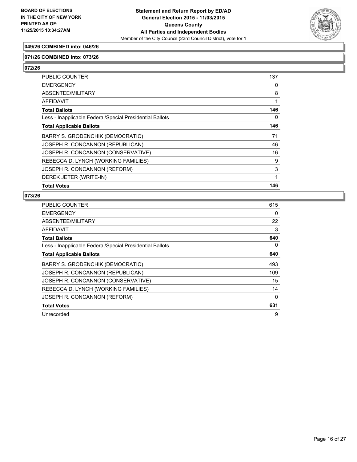

## **049/26 COMBINED into: 046/26**

#### **071/26 COMBINED into: 073/26**

**072/26** 

| <b>PUBLIC COUNTER</b>                                    | 137 |
|----------------------------------------------------------|-----|
| <b>EMERGENCY</b>                                         | 0   |
| <b>ABSENTEE/MILITARY</b>                                 | 8   |
| AFFIDAVIT                                                | 1   |
| <b>Total Ballots</b>                                     | 146 |
| Less - Inapplicable Federal/Special Presidential Ballots | 0   |
| <b>Total Applicable Ballots</b>                          | 146 |
| <b>BARRY S. GRODENCHIK (DEMOCRATIC)</b>                  | 71  |
| JOSEPH R. CONCANNON (REPUBLICAN)                         | 46  |
| JOSEPH R. CONCANNON (CONSERVATIVE)                       | 16  |
| REBECCA D. LYNCH (WORKING FAMILIES)                      | 9   |
| JOSEPH R. CONCANNON (REFORM)                             | 3   |
| DEREK JETER (WRITE-IN)                                   | 1   |
| <b>Total Votes</b>                                       | 146 |

| PUBLIC COUNTER                                           | 615 |
|----------------------------------------------------------|-----|
| <b>EMERGENCY</b>                                         | 0   |
| ABSENTEE/MILITARY                                        | 22  |
| AFFIDAVIT                                                | 3   |
| <b>Total Ballots</b>                                     | 640 |
| Less - Inapplicable Federal/Special Presidential Ballots | 0   |
| <b>Total Applicable Ballots</b>                          | 640 |
| BARRY S. GRODENCHIK (DEMOCRATIC)                         | 493 |
| JOSEPH R. CONCANNON (REPUBLICAN)                         | 109 |
| JOSEPH R. CONCANNON (CONSERVATIVE)                       | 15  |
| REBECCA D. LYNCH (WORKING FAMILIES)                      | 14  |
| JOSEPH R. CONCANNON (REFORM)                             | 0   |
| <b>Total Votes</b>                                       | 631 |
| Unrecorded                                               | 9   |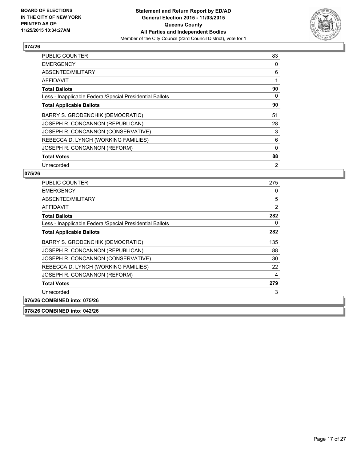

| <b>PUBLIC COUNTER</b>                                    | 83             |
|----------------------------------------------------------|----------------|
| <b>EMERGENCY</b>                                         | 0              |
| ABSENTEE/MILITARY                                        | 6              |
| AFFIDAVIT                                                | 1              |
| <b>Total Ballots</b>                                     | 90             |
| Less - Inapplicable Federal/Special Presidential Ballots | 0              |
| <b>Total Applicable Ballots</b>                          | 90             |
| <b>BARRY S. GRODENCHIK (DEMOCRATIC)</b>                  | 51             |
| JOSEPH R. CONCANNON (REPUBLICAN)                         | 28             |
| JOSEPH R. CONCANNON (CONSERVATIVE)                       | 3              |
| REBECCA D. LYNCH (WORKING FAMILIES)                      | 6              |
| JOSEPH R. CONCANNON (REFORM)                             | 0              |
| <b>Total Votes</b>                                       | 88             |
| Unrecorded                                               | $\overline{2}$ |

#### **075/26**

| PUBLIC COUNTER                                           | 275 |
|----------------------------------------------------------|-----|
| <b>EMERGENCY</b>                                         | 0   |
| ABSENTEE/MILITARY                                        | 5   |
| AFFIDAVIT                                                | 2   |
| <b>Total Ballots</b>                                     | 282 |
| Less - Inapplicable Federal/Special Presidential Ballots | 0   |
| <b>Total Applicable Ballots</b>                          | 282 |
| BARRY S. GRODENCHIK (DEMOCRATIC)                         | 135 |
| JOSEPH R. CONCANNON (REPUBLICAN)                         | 88  |
| JOSEPH R. CONCANNON (CONSERVATIVE)                       | 30  |
| REBECCA D. LYNCH (WORKING FAMILIES)                      | 22  |
| JOSEPH R. CONCANNON (REFORM)                             | 4   |
| <b>Total Votes</b>                                       | 279 |
| Unrecorded                                               | 3   |
| 076/26 COMBINED into: 075/26                             |     |
|                                                          |     |

**078/26 COMBINED into: 042/26**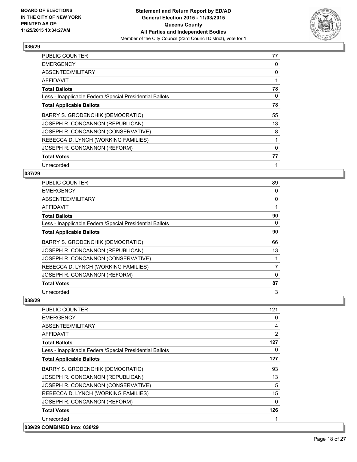

| <b>PUBLIC COUNTER</b>                                    | 77 |
|----------------------------------------------------------|----|
| <b>EMERGENCY</b>                                         | 0  |
| ABSENTEE/MILITARY                                        | 0  |
| AFFIDAVIT                                                | 1  |
| <b>Total Ballots</b>                                     | 78 |
| Less - Inapplicable Federal/Special Presidential Ballots | 0  |
| <b>Total Applicable Ballots</b>                          | 78 |
| BARRY S. GRODENCHIK (DEMOCRATIC)                         | 55 |
| JOSEPH R. CONCANNON (REPUBLICAN)                         | 13 |
| JOSEPH R. CONCANNON (CONSERVATIVE)                       | 8  |
| REBECCA D. LYNCH (WORKING FAMILIES)                      | 1  |
| JOSEPH R. CONCANNON (REFORM)                             | 0  |
| <b>Total Votes</b>                                       | 77 |
| Unrecorded                                               | 1  |

## **037/29**

| PUBLIC COUNTER                                           | 89 |
|----------------------------------------------------------|----|
| <b>EMERGENCY</b>                                         | 0  |
| ABSENTEE/MILITARY                                        | 0  |
| <b>AFFIDAVIT</b>                                         |    |
| <b>Total Ballots</b>                                     | 90 |
| Less - Inapplicable Federal/Special Presidential Ballots | 0  |
| <b>Total Applicable Ballots</b>                          | 90 |
| BARRY S. GRODENCHIK (DEMOCRATIC)                         | 66 |
| JOSEPH R. CONCANNON (REPUBLICAN)                         | 13 |
| JOSEPH R. CONCANNON (CONSERVATIVE)                       |    |
| REBECCA D. LYNCH (WORKING FAMILIES)                      | 7  |
| JOSEPH R. CONCANNON (REFORM)                             | 0  |
| <b>Total Votes</b>                                       | 87 |
| Unrecorded                                               | 3  |

| <b>PUBLIC COUNTER</b>                                    | 121            |
|----------------------------------------------------------|----------------|
| <b>EMERGENCY</b>                                         | 0              |
| ABSENTEE/MILITARY                                        | 4              |
| AFFIDAVIT                                                | $\overline{2}$ |
| <b>Total Ballots</b>                                     | 127            |
| Less - Inapplicable Federal/Special Presidential Ballots | 0              |
| <b>Total Applicable Ballots</b>                          | 127            |
| BARRY S. GRODENCHIK (DEMOCRATIC)                         | 93             |
| JOSEPH R. CONCANNON (REPUBLICAN)                         | 13             |
| JOSEPH R. CONCANNON (CONSERVATIVE)                       | 5              |
| REBECCA D. LYNCH (WORKING FAMILIES)                      | 15             |
| JOSEPH R. CONCANNON (REFORM)                             | 0              |
| <b>Total Votes</b>                                       | 126            |
| Unrecorded                                               |                |
| 039/29 COMBINED into: 038/29                             |                |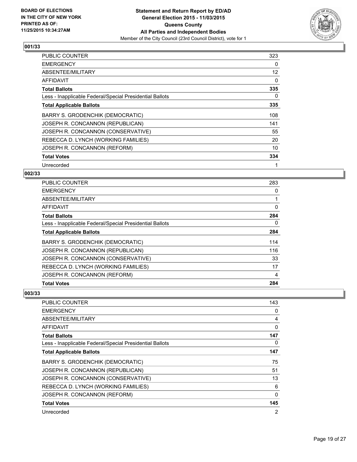

| <b>PUBLIC COUNTER</b>                                    | 323               |
|----------------------------------------------------------|-------------------|
| <b>EMERGENCY</b>                                         | 0                 |
| ABSENTEE/MILITARY                                        | $12 \overline{ }$ |
| AFFIDAVIT                                                | 0                 |
| <b>Total Ballots</b>                                     | 335               |
| Less - Inapplicable Federal/Special Presidential Ballots | 0                 |
| <b>Total Applicable Ballots</b>                          | 335               |
| BARRY S. GRODENCHIK (DEMOCRATIC)                         | 108               |
| JOSEPH R. CONCANNON (REPUBLICAN)                         | 141               |
| JOSEPH R. CONCANNON (CONSERVATIVE)                       | 55                |
| REBECCA D. LYNCH (WORKING FAMILIES)                      | 20                |
| JOSEPH R. CONCANNON (REFORM)                             | 10                |
| <b>Total Votes</b>                                       | 334               |
| Unrecorded                                               |                   |

## **002/33**

| <b>Total Votes</b>                                       | 284 |
|----------------------------------------------------------|-----|
| JOSEPH R. CONCANNON (REFORM)                             | 4   |
| REBECCA D. LYNCH (WORKING FAMILIES)                      | 17  |
| JOSEPH R. CONCANNON (CONSERVATIVE)                       | 33  |
| JOSEPH R. CONCANNON (REPUBLICAN)                         | 116 |
| BARRY S. GRODENCHIK (DEMOCRATIC)                         | 114 |
| <b>Total Applicable Ballots</b>                          | 284 |
| Less - Inapplicable Federal/Special Presidential Ballots | 0   |
| <b>Total Ballots</b>                                     | 284 |
| AFFIDAVIT                                                | 0   |
| ABSENTEE/MILITARY                                        | 1   |
| <b>EMERGENCY</b>                                         | 0   |
| PUBLIC COUNTER                                           | 283 |

| PUBLIC COUNTER                                           | 143 |
|----------------------------------------------------------|-----|
| <b>EMERGENCY</b>                                         | 0   |
| ABSENTEE/MILITARY                                        | 4   |
| AFFIDAVIT                                                | 0   |
| <b>Total Ballots</b>                                     | 147 |
| Less - Inapplicable Federal/Special Presidential Ballots | 0   |
| <b>Total Applicable Ballots</b>                          | 147 |
| BARRY S. GRODENCHIK (DEMOCRATIC)                         | 75  |
| JOSEPH R. CONCANNON (REPUBLICAN)                         | 51  |
| JOSEPH R. CONCANNON (CONSERVATIVE)                       | 13  |
| REBECCA D. LYNCH (WORKING FAMILIES)                      | 6   |
| JOSEPH R. CONCANNON (REFORM)                             | 0   |
| <b>Total Votes</b>                                       | 145 |
| Unrecorded                                               | 2   |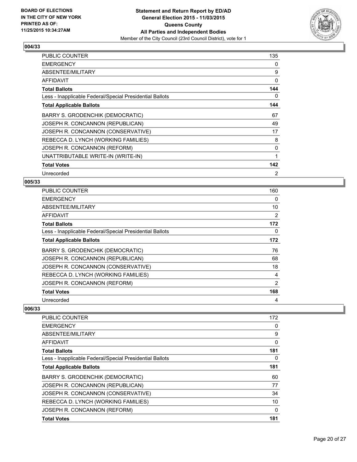

| PUBLIC COUNTER                                           | 135 |
|----------------------------------------------------------|-----|
| <b>EMERGENCY</b>                                         | 0   |
| ABSENTEE/MILITARY                                        | 9   |
| AFFIDAVIT                                                | 0   |
| <b>Total Ballots</b>                                     | 144 |
| Less - Inapplicable Federal/Special Presidential Ballots | 0   |
| <b>Total Applicable Ballots</b>                          | 144 |
| BARRY S. GRODENCHIK (DEMOCRATIC)                         | 67  |
| JOSEPH R. CONCANNON (REPUBLICAN)                         | 49  |
| JOSEPH R. CONCANNON (CONSERVATIVE)                       | 17  |
| REBECCA D. LYNCH (WORKING FAMILIES)                      | 8   |
| JOSEPH R. CONCANNON (REFORM)                             | 0   |
| UNATTRIBUTABLE WRITE-IN (WRITE-IN)                       | 1   |
| <b>Total Votes</b>                                       | 142 |
| Unrecorded                                               | 2   |

# **005/33**

| <b>PUBLIC COUNTER</b>                                    | 160 |
|----------------------------------------------------------|-----|
| <b>EMERGENCY</b>                                         | 0   |
| ABSENTEE/MILITARY                                        | 10  |
| AFFIDAVIT                                                | 2   |
| <b>Total Ballots</b>                                     | 172 |
| Less - Inapplicable Federal/Special Presidential Ballots | 0   |
| <b>Total Applicable Ballots</b>                          | 172 |
| BARRY S. GRODENCHIK (DEMOCRATIC)                         | 76  |
| JOSEPH R. CONCANNON (REPUBLICAN)                         | 68  |
| JOSEPH R. CONCANNON (CONSERVATIVE)                       | 18  |
| REBECCA D. LYNCH (WORKING FAMILIES)                      | 4   |
| JOSEPH R. CONCANNON (REFORM)                             | 2   |
| <b>Total Votes</b>                                       | 168 |
| Unrecorded                                               | 4   |

| <b>Total Votes</b>                                       | 181         |
|----------------------------------------------------------|-------------|
| JOSEPH R. CONCANNON (REFORM)                             | 0           |
| REBECCA D. LYNCH (WORKING FAMILIES)                      | 10          |
| JOSEPH R. CONCANNON (CONSERVATIVE)                       | 34          |
| JOSEPH R. CONCANNON (REPUBLICAN)                         | 77          |
| BARRY S. GRODENCHIK (DEMOCRATIC)                         | 60          |
| <b>Total Applicable Ballots</b>                          | 181         |
| Less - Inapplicable Federal/Special Presidential Ballots | 0           |
| <b>Total Ballots</b>                                     | 181         |
| AFFIDAVIT                                                | $\mathbf 0$ |
| ABSENTEE/MILITARY                                        | 9           |
| <b>EMERGENCY</b>                                         | 0           |
| PUBLIC COUNTER                                           | 172         |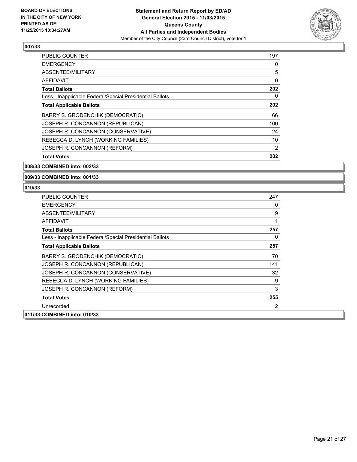

| <b>PUBLIC COUNTER</b>                                    | 197 |
|----------------------------------------------------------|-----|
| <b>EMERGENCY</b>                                         | 0   |
| ABSENTEE/MILITARY                                        | 5   |
| AFFIDAVIT                                                | 0   |
| <b>Total Ballots</b>                                     | 202 |
| Less - Inapplicable Federal/Special Presidential Ballots | 0   |
| <b>Total Applicable Ballots</b>                          | 202 |
| BARRY S. GRODENCHIK (DEMOCRATIC)                         | 66  |
| JOSEPH R. CONCANNON (REPUBLICAN)                         | 100 |
| JOSEPH R. CONCANNON (CONSERVATIVE)                       | 24  |
| REBECCA D. LYNCH (WORKING FAMILIES)                      | 10  |
| JOSEPH R. CONCANNON (REFORM)                             | 2   |
| <b>Total Votes</b>                                       | 202 |

**008/33 COMBINED into: 002/33**

**009/33 COMBINED into: 001/33**

| <b>PUBLIC COUNTER</b>                                    | 247 |
|----------------------------------------------------------|-----|
| <b>EMERGENCY</b>                                         | 0   |
| ABSENTEE/MILITARY                                        | 9   |
| AFFIDAVIT                                                | 1   |
| <b>Total Ballots</b>                                     | 257 |
| Less - Inapplicable Federal/Special Presidential Ballots | 0   |
| <b>Total Applicable Ballots</b>                          | 257 |
| <b>BARRY S. GRODENCHIK (DEMOCRATIC)</b>                  | 70  |
| JOSEPH R. CONCANNON (REPUBLICAN)                         | 141 |
| JOSEPH R. CONCANNON (CONSERVATIVE)                       | 32  |
| REBECCA D. LYNCH (WORKING FAMILIES)                      | 9   |
| JOSEPH R. CONCANNON (REFORM)                             | 3   |
| <b>Total Votes</b>                                       | 255 |
| Unrecorded                                               | 2   |
| 011/33 COMBINED into: 010/33                             |     |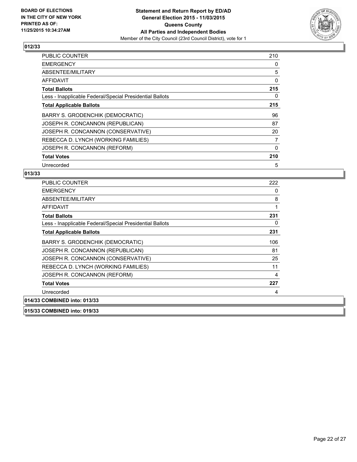

| <b>PUBLIC COUNTER</b>                                    | 210 |
|----------------------------------------------------------|-----|
| <b>EMERGENCY</b>                                         | 0   |
| ABSENTEE/MILITARY                                        | 5   |
| AFFIDAVIT                                                | 0   |
| <b>Total Ballots</b>                                     | 215 |
| Less - Inapplicable Federal/Special Presidential Ballots | 0   |
| <b>Total Applicable Ballots</b>                          | 215 |
| BARRY S. GRODENCHIK (DEMOCRATIC)                         | 96  |
| JOSEPH R. CONCANNON (REPUBLICAN)                         | 87  |
| JOSEPH R. CONCANNON (CONSERVATIVE)                       | 20  |
| REBECCA D. LYNCH (WORKING FAMILIES)                      | 7   |
| JOSEPH R. CONCANNON (REFORM)                             | 0   |
| <b>Total Votes</b>                                       | 210 |
| Unrecorded                                               | 5   |

#### **013/33**

| <b>PUBLIC COUNTER</b>                                    | 222 |
|----------------------------------------------------------|-----|
| <b>EMERGENCY</b>                                         | 0   |
| ABSENTEE/MILITARY                                        | 8   |
| <b>AFFIDAVIT</b>                                         | 1   |
| <b>Total Ballots</b>                                     | 231 |
| Less - Inapplicable Federal/Special Presidential Ballots | 0   |
| <b>Total Applicable Ballots</b>                          | 231 |
| BARRY S. GRODENCHIK (DEMOCRATIC)                         | 106 |
| JOSEPH R. CONCANNON (REPUBLICAN)                         | 81  |
| JOSEPH R. CONCANNON (CONSERVATIVE)                       | 25  |
| REBECCA D. LYNCH (WORKING FAMILIES)                      | 11  |
| JOSEPH R. CONCANNON (REFORM)                             | 4   |
| <b>Total Votes</b>                                       | 227 |
| Unrecorded                                               | 4   |
| 014/33 COMBINED into: 013/33                             |     |
| 015/33 COMBINED into: 019/33                             |     |

Page 22 of 27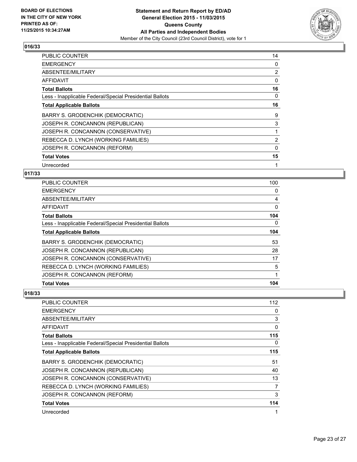

| PUBLIC COUNTER                                           | 14             |
|----------------------------------------------------------|----------------|
| <b>EMERGENCY</b>                                         | 0              |
| ABSENTEE/MILITARY                                        | $\overline{2}$ |
| AFFIDAVIT                                                | $\Omega$       |
| <b>Total Ballots</b>                                     | 16             |
| Less - Inapplicable Federal/Special Presidential Ballots | 0              |
| <b>Total Applicable Ballots</b>                          | 16             |
| BARRY S. GRODENCHIK (DEMOCRATIC)                         | 9              |
| JOSEPH R. CONCANNON (REPUBLICAN)                         | 3              |
| JOSEPH R. CONCANNON (CONSERVATIVE)                       |                |
| REBECCA D. LYNCH (WORKING FAMILIES)                      | $\overline{2}$ |
| JOSEPH R. CONCANNON (REFORM)                             | 0              |
| <b>Total Votes</b>                                       | 15             |
| Unrecorded                                               | 1              |

## **017/33**

| <b>Total Votes</b>                                       | 104 |
|----------------------------------------------------------|-----|
| JOSEPH R. CONCANNON (REFORM)                             | 1   |
| REBECCA D. LYNCH (WORKING FAMILIES)                      | 5   |
| JOSEPH R. CONCANNON (CONSERVATIVE)                       | 17  |
| JOSEPH R. CONCANNON (REPUBLICAN)                         | 28  |
| BARRY S. GRODENCHIK (DEMOCRATIC)                         | 53  |
| <b>Total Applicable Ballots</b>                          | 104 |
| Less - Inapplicable Federal/Special Presidential Ballots | 0   |
| <b>Total Ballots</b>                                     | 104 |
| <b>AFFIDAVIT</b>                                         | 0   |
| ABSENTEE/MILITARY                                        | 4   |
| <b>EMERGENCY</b>                                         | 0   |
| PUBLIC COUNTER                                           | 100 |

| PUBLIC COUNTER                                           | 112 |
|----------------------------------------------------------|-----|
| <b>EMERGENCY</b>                                         | 0   |
| ABSENTEE/MILITARY                                        | 3   |
| <b>AFFIDAVIT</b>                                         | 0   |
| <b>Total Ballots</b>                                     | 115 |
| Less - Inapplicable Federal/Special Presidential Ballots | 0   |
| <b>Total Applicable Ballots</b>                          | 115 |
| BARRY S. GRODENCHIK (DEMOCRATIC)                         | 51  |
| JOSEPH R. CONCANNON (REPUBLICAN)                         | 40  |
| JOSEPH R. CONCANNON (CONSERVATIVE)                       | 13  |
| REBECCA D. LYNCH (WORKING FAMILIES)                      | 7   |
| JOSEPH R. CONCANNON (REFORM)                             | 3   |
| <b>Total Votes</b>                                       | 114 |
| Unrecorded                                               | 1   |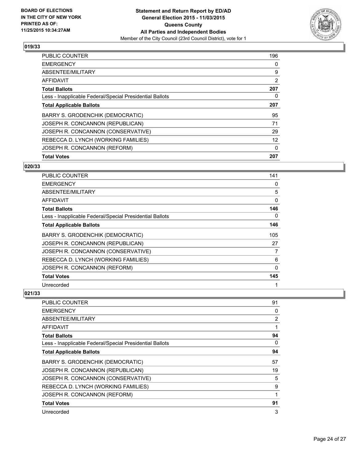

| <b>PUBLIC COUNTER</b>                                    | 196            |
|----------------------------------------------------------|----------------|
| <b>EMERGENCY</b>                                         | 0              |
| ABSENTEE/MILITARY                                        | 9              |
| AFFIDAVIT                                                | $\overline{2}$ |
| <b>Total Ballots</b>                                     | 207            |
| Less - Inapplicable Federal/Special Presidential Ballots | 0              |
| <b>Total Applicable Ballots</b>                          | 207            |
| BARRY S. GRODENCHIK (DEMOCRATIC)                         | 95             |
| JOSEPH R. CONCANNON (REPUBLICAN)                         | 71             |
| JOSEPH R. CONCANNON (CONSERVATIVE)                       | 29             |
| REBECCA D. LYNCH (WORKING FAMILIES)                      | 12             |
| JOSEPH R. CONCANNON (REFORM)                             | 0              |
| <b>Total Votes</b>                                       | 207            |

### **020/33**

| <b>PUBLIC COUNTER</b>                                    | 141 |
|----------------------------------------------------------|-----|
| <b>EMERGENCY</b>                                         | 0   |
| ABSENTEE/MILITARY                                        | 5   |
| <b>AFFIDAVIT</b>                                         | 0   |
| <b>Total Ballots</b>                                     | 146 |
| Less - Inapplicable Federal/Special Presidential Ballots | 0   |
| <b>Total Applicable Ballots</b>                          | 146 |
| BARRY S. GRODENCHIK (DEMOCRATIC)                         | 105 |
| JOSEPH R. CONCANNON (REPUBLICAN)                         | 27  |
| JOSEPH R. CONCANNON (CONSERVATIVE)                       | 7   |
| REBECCA D. LYNCH (WORKING FAMILIES)                      | 6   |
| JOSEPH R. CONCANNON (REFORM)                             | 0   |
| <b>Total Votes</b>                                       | 145 |
| Unrecorded                                               | 1   |

| PUBLIC COUNTER                                           | 91             |
|----------------------------------------------------------|----------------|
| <b>EMERGENCY</b>                                         | 0              |
| ABSENTEE/MILITARY                                        | $\overline{2}$ |
| AFFIDAVIT                                                |                |
| <b>Total Ballots</b>                                     | 94             |
| Less - Inapplicable Federal/Special Presidential Ballots | 0              |
| <b>Total Applicable Ballots</b>                          | 94             |
| BARRY S. GRODENCHIK (DEMOCRATIC)                         | 57             |
| JOSEPH R. CONCANNON (REPUBLICAN)                         | 19             |
| JOSEPH R. CONCANNON (CONSERVATIVE)                       | 5              |
| REBECCA D. LYNCH (WORKING FAMILIES)                      | 9              |
| JOSEPH R. CONCANNON (REFORM)                             | 1              |
| <b>Total Votes</b>                                       | 91             |
| Unrecorded                                               | 3              |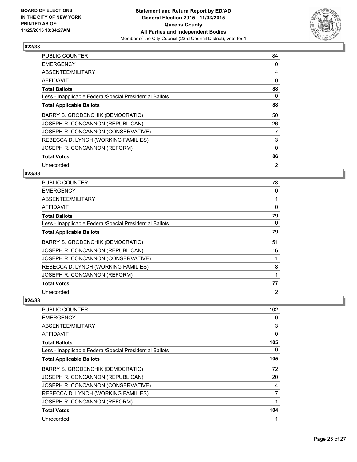

| <b>PUBLIC COUNTER</b>                                    | 84       |
|----------------------------------------------------------|----------|
| <b>EMERGENCY</b>                                         | 0        |
| ABSENTEE/MILITARY                                        | 4        |
| AFFIDAVIT                                                | $\Omega$ |
| <b>Total Ballots</b>                                     | 88       |
| Less - Inapplicable Federal/Special Presidential Ballots | 0        |
| <b>Total Applicable Ballots</b>                          | 88       |
| BARRY S. GRODENCHIK (DEMOCRATIC)                         | 50       |
| JOSEPH R. CONCANNON (REPUBLICAN)                         | 26       |
| JOSEPH R. CONCANNON (CONSERVATIVE)                       | 7        |
| REBECCA D. LYNCH (WORKING FAMILIES)                      | 3        |
| JOSEPH R. CONCANNON (REFORM)                             | 0        |
| <b>Total Votes</b>                                       | 86       |
| Unrecorded                                               | 2        |

## **023/33**

| PUBLIC COUNTER                                           | 78       |
|----------------------------------------------------------|----------|
| <b>EMERGENCY</b>                                         | 0        |
| ABSENTEE/MILITARY                                        |          |
| AFFIDAVIT                                                | $\Omega$ |
| <b>Total Ballots</b>                                     | 79       |
| Less - Inapplicable Federal/Special Presidential Ballots | 0        |
| <b>Total Applicable Ballots</b>                          | 79       |
| BARRY S. GRODENCHIK (DEMOCRATIC)                         | 51       |
| JOSEPH R. CONCANNON (REPUBLICAN)                         | 16       |
| JOSEPH R. CONCANNON (CONSERVATIVE)                       |          |
| REBECCA D. LYNCH (WORKING FAMILIES)                      | 8        |
| JOSEPH R. CONCANNON (REFORM)                             |          |
| <b>Total Votes</b>                                       | 77       |
| Unrecorded                                               | 2        |

| PUBLIC COUNTER                                           | 102 |
|----------------------------------------------------------|-----|
| <b>EMERGENCY</b>                                         | 0   |
| ABSENTEE/MILITARY                                        | 3   |
| AFFIDAVIT                                                | 0   |
| <b>Total Ballots</b>                                     | 105 |
| Less - Inapplicable Federal/Special Presidential Ballots | 0   |
| <b>Total Applicable Ballots</b>                          | 105 |
| BARRY S. GRODENCHIK (DEMOCRATIC)                         | 72  |
| JOSEPH R. CONCANNON (REPUBLICAN)                         | 20  |
| JOSEPH R. CONCANNON (CONSERVATIVE)                       | 4   |
| REBECCA D. LYNCH (WORKING FAMILIES)                      | 7   |
| JOSEPH R. CONCANNON (REFORM)                             | 1   |
| <b>Total Votes</b>                                       | 104 |
| Unrecorded                                               |     |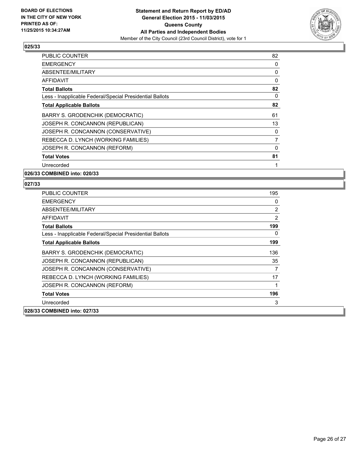

| <b>PUBLIC COUNTER</b>                                    | 82 |
|----------------------------------------------------------|----|
| <b>EMERGENCY</b>                                         | 0  |
| ABSENTEE/MILITARY                                        | 0  |
| <b>AFFIDAVIT</b>                                         | 0  |
| <b>Total Ballots</b>                                     | 82 |
| Less - Inapplicable Federal/Special Presidential Ballots | 0  |
| <b>Total Applicable Ballots</b>                          | 82 |
| BARRY S. GRODENCHIK (DEMOCRATIC)                         | 61 |
| JOSEPH R. CONCANNON (REPUBLICAN)                         | 13 |
| JOSEPH R. CONCANNON (CONSERVATIVE)                       | 0  |
| REBECCA D. LYNCH (WORKING FAMILIES)                      | 7  |
| JOSEPH R. CONCANNON (REFORM)                             | 0  |
| <b>Total Votes</b>                                       | 81 |
| Unrecorded                                               | 1  |

**026/33 COMBINED into: 020/33**

| <b>PUBLIC COUNTER</b>                                    | 195 |
|----------------------------------------------------------|-----|
| <b>EMERGENCY</b>                                         | 0   |
| ABSENTEE/MILITARY                                        | 2   |
| AFFIDAVIT                                                | 2   |
| <b>Total Ballots</b>                                     | 199 |
| Less - Inapplicable Federal/Special Presidential Ballots | 0   |
| <b>Total Applicable Ballots</b>                          | 199 |
| BARRY S. GRODENCHIK (DEMOCRATIC)                         | 136 |
| JOSEPH R. CONCANNON (REPUBLICAN)                         | 35  |
| JOSEPH R. CONCANNON (CONSERVATIVE)                       |     |
| REBECCA D. LYNCH (WORKING FAMILIES)                      | 17  |
| JOSEPH R. CONCANNON (REFORM)                             |     |
| <b>Total Votes</b>                                       | 196 |
| Unrecorded                                               | 3   |
| 028/33 COMBINED into: 027/33                             |     |